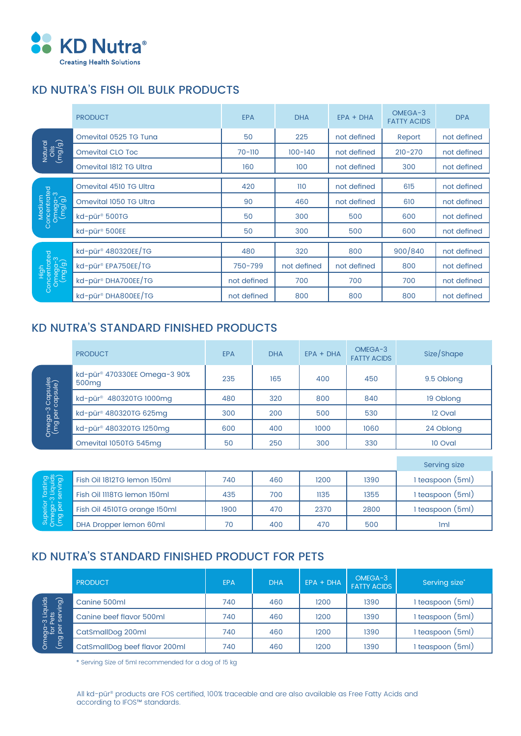

# KD NUTRA'S FISH OIL BULK PRODUCTS

|                                             | <b>PRODUCT</b>                  | <b>EPA</b>  | <b>DHA</b>  | $EPA + DHA$ | OMEGA-3<br><b>FATTY ACIDS</b> | <b>DPA</b>  |
|---------------------------------------------|---------------------------------|-------------|-------------|-------------|-------------------------------|-------------|
| Natural<br>Oils<br>(mg/g)                   | Omevital 0525 TG Tung           | 50          | 225         | not defined | Report                        | not defined |
|                                             | <b>Omevital CLO Toc</b>         | $70 - 110$  | $100 - 140$ | not defined | $210 - 270$                   | not defined |
|                                             | Omevital 1812 TG Ultra          | 160         | 100         | not defined | 300                           | not defined |
| Medium<br>Concentrated<br>Omega-3<br>(mg/g) | Omevital 4510 TG Ultra          | 420         | 110         | not defined | 615                           | not defined |
|                                             | Omevital 1050 TG Ultra          | 90          | 460         | not defined | 610                           | not defined |
|                                             | kd-pür <sup>®</sup> 500TG       | 50          | 300         | 500         | 600                           | not defined |
|                                             | kd-pür <sup>®</sup> 500EE       | 50          | 300         | 500         | 600                           | not defined |
| High<br>Concentrated<br>Omega-3<br>(mg/g)   | kd-pür <sup>®</sup> 480320EE/TG | 480         | 320         | 800         | 900/840                       | not defined |
|                                             | kd-pür® EPA750EE/TG             | 750-799     | not defined | not defined | 800                           | not defined |
|                                             | kd-pür <sup>®</sup> DHA700EE/TG | not defined | 700         | 700         | 700                           | not defined |
|                                             | kd-pür <sup>®</sup> DHA800EE/TG | not defined | 800         | 800         | 800                           | not defined |

## KD NUTRA'S STANDARD FINISHED PRODUCTS

|                                                         | <b>PRODUCT</b>                                                | <b>EPA</b> | <b>DHA</b>   | $EPA + DHA$ | OMEGA-3<br><b>FATTY ACIDS</b> | Size/Shape       |  |
|---------------------------------------------------------|---------------------------------------------------------------|------------|--------------|-------------|-------------------------------|------------------|--|
| 8 Capsules<br>capsule)<br>Omega-3<br>(mg per <u>c</u>   | kd-pür <sup>®</sup> 470330EE Omega-3 90%<br>500 <sub>mg</sub> | 235        | 165          | 400         | 450                           | 9.5 Oblong       |  |
|                                                         | kd-pür <sup>®</sup> 480320TG 1000mg                           | 480        | 320          | 800         | 840                           | 19 Oblong        |  |
|                                                         | kd-pür <sup>®</sup> 480320TG 625mg                            | 300        | 200          | 500         | 530                           | 12 Oval          |  |
|                                                         | kd-pür <sup>®</sup> 480320TG 1250mg                           | 600        | 400          | 1000        | 1060                          | 24 Oblong        |  |
|                                                         | Omevital 1050TG 545mg                                         | 50         | 250          | 300         | 330                           | 10 Oval          |  |
|                                                         |                                                               |            |              |             |                               |                  |  |
|                                                         |                                                               |            | Serving size |             |                               |                  |  |
| Superior Tasting<br>Omega-3 Liquids<br>(mg per serving) | Fish Oil 1812TG lemon 150ml                                   | 740        | 460          | 1200        | 1390                          | 1 teaspoon (5ml) |  |
|                                                         | Fish Oil III8TG lemon 150ml                                   | 435        | 700          | 1135        | 1355                          | 1 teaspoon (5ml) |  |
|                                                         | Fish Oil 4510TG orange 150ml                                  | 1900       | 470          | 2370        | 2800                          | 1 teaspoon (5ml) |  |
|                                                         | DHA Dropper lemon 60ml                                        | 70         | 400          | 470         | 500                           | <b>Iml</b>       |  |

# KD NUTRA'S STANDARD FINISHED PRODUCT FOR PETS

|                                                                   | <b>PRODUCT</b>                | <b>EPA</b> | <b>DHA</b> | $EPA + DHA$ | OMEGA-3<br><b>FATTY ACIDS</b> | Serving size*     |
|-------------------------------------------------------------------|-------------------------------|------------|------------|-------------|-------------------------------|-------------------|
| Omega-3 Liquids<br>for Pets<br>(mg per serving)<br>$\overline{g}$ | Canine 500ml                  | 740        | 460        | 1200        | 1390                          | I teaspoon (5ml)  |
|                                                                   | Canine beef flavor 500ml      | 740        | 460        | 1200        | 1390                          | I teaspoon (5ml)  |
|                                                                   | CatSmallDog 200ml             | 740        | 460        | 1200        | 1390                          | I teaspoon (5ml)  |
|                                                                   | CatSmallDog beef flavor 200ml | 740        | 460        | 1200        | 1390                          | (5ml)<br>teaspoon |

\* Serving Size of 5ml recommended for a dog of 15 kg